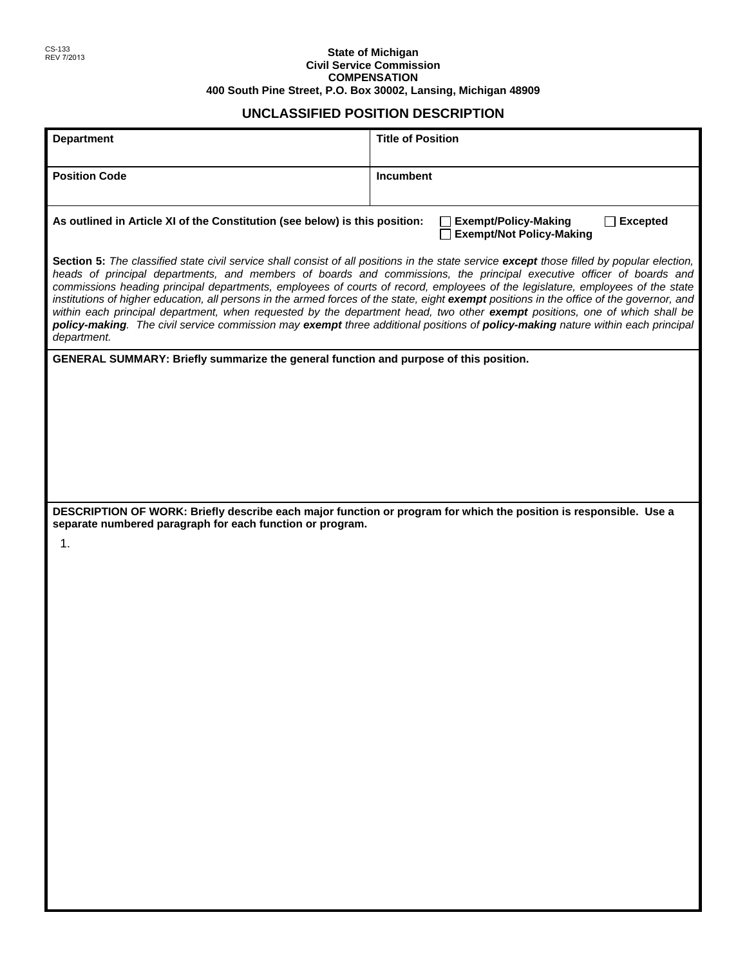## REV 7/2013 **State of Michigan Civil Service Commission COMPENSATION 400 South Pine Street, P.O. Box 30002, Lansing, Michigan 48909**

## **UNCLASSIFIED POSITION DESCRIPTION**

| <b>Department</b>                                                                                                                                                                                                                                                                                                                                                                                                                                                                                                                                                                                                                                                                                                                                                                                                                 | <b>Title of Position</b> |  |  |  |
|-----------------------------------------------------------------------------------------------------------------------------------------------------------------------------------------------------------------------------------------------------------------------------------------------------------------------------------------------------------------------------------------------------------------------------------------------------------------------------------------------------------------------------------------------------------------------------------------------------------------------------------------------------------------------------------------------------------------------------------------------------------------------------------------------------------------------------------|--------------------------|--|--|--|
|                                                                                                                                                                                                                                                                                                                                                                                                                                                                                                                                                                                                                                                                                                                                                                                                                                   |                          |  |  |  |
| <b>Position Code</b>                                                                                                                                                                                                                                                                                                                                                                                                                                                                                                                                                                                                                                                                                                                                                                                                              | Incumbent                |  |  |  |
|                                                                                                                                                                                                                                                                                                                                                                                                                                                                                                                                                                                                                                                                                                                                                                                                                                   |                          |  |  |  |
| As outlined in Article XI of the Constitution (see below) is this position:<br><b>Exempt/Policy-Making</b><br><b>Excepted</b><br><b>Exempt/Not Policy-Making</b>                                                                                                                                                                                                                                                                                                                                                                                                                                                                                                                                                                                                                                                                  |                          |  |  |  |
| Section 5: The classified state civil service shall consist of all positions in the state service except those filled by popular election,<br>heads of principal departments, and members of boards and commissions, the principal executive officer of boards and<br>commissions heading principal departments, employees of courts of record, employees of the legislature, employees of the state<br>institutions of higher education, all persons in the armed forces of the state, eight exempt positions in the office of the governor, and<br>within each principal department, when requested by the department head, two other exempt positions, one of which shall be<br>policy-making. The civil service commission may exempt three additional positions of policy-making nature within each principal<br>department. |                          |  |  |  |
| GENERAL SUMMARY: Briefly summarize the general function and purpose of this position.                                                                                                                                                                                                                                                                                                                                                                                                                                                                                                                                                                                                                                                                                                                                             |                          |  |  |  |
|                                                                                                                                                                                                                                                                                                                                                                                                                                                                                                                                                                                                                                                                                                                                                                                                                                   |                          |  |  |  |
|                                                                                                                                                                                                                                                                                                                                                                                                                                                                                                                                                                                                                                                                                                                                                                                                                                   |                          |  |  |  |
|                                                                                                                                                                                                                                                                                                                                                                                                                                                                                                                                                                                                                                                                                                                                                                                                                                   |                          |  |  |  |
|                                                                                                                                                                                                                                                                                                                                                                                                                                                                                                                                                                                                                                                                                                                                                                                                                                   |                          |  |  |  |
|                                                                                                                                                                                                                                                                                                                                                                                                                                                                                                                                                                                                                                                                                                                                                                                                                                   |                          |  |  |  |
| DESCRIPTION OF WORK: Briefly describe each major function or program for which the position is responsible. Use a                                                                                                                                                                                                                                                                                                                                                                                                                                                                                                                                                                                                                                                                                                                 |                          |  |  |  |
| separate numbered paragraph for each function or program.<br>1.                                                                                                                                                                                                                                                                                                                                                                                                                                                                                                                                                                                                                                                                                                                                                                   |                          |  |  |  |
|                                                                                                                                                                                                                                                                                                                                                                                                                                                                                                                                                                                                                                                                                                                                                                                                                                   |                          |  |  |  |
|                                                                                                                                                                                                                                                                                                                                                                                                                                                                                                                                                                                                                                                                                                                                                                                                                                   |                          |  |  |  |
|                                                                                                                                                                                                                                                                                                                                                                                                                                                                                                                                                                                                                                                                                                                                                                                                                                   |                          |  |  |  |
|                                                                                                                                                                                                                                                                                                                                                                                                                                                                                                                                                                                                                                                                                                                                                                                                                                   |                          |  |  |  |
|                                                                                                                                                                                                                                                                                                                                                                                                                                                                                                                                                                                                                                                                                                                                                                                                                                   |                          |  |  |  |
|                                                                                                                                                                                                                                                                                                                                                                                                                                                                                                                                                                                                                                                                                                                                                                                                                                   |                          |  |  |  |
|                                                                                                                                                                                                                                                                                                                                                                                                                                                                                                                                                                                                                                                                                                                                                                                                                                   |                          |  |  |  |
|                                                                                                                                                                                                                                                                                                                                                                                                                                                                                                                                                                                                                                                                                                                                                                                                                                   |                          |  |  |  |
|                                                                                                                                                                                                                                                                                                                                                                                                                                                                                                                                                                                                                                                                                                                                                                                                                                   |                          |  |  |  |
|                                                                                                                                                                                                                                                                                                                                                                                                                                                                                                                                                                                                                                                                                                                                                                                                                                   |                          |  |  |  |
|                                                                                                                                                                                                                                                                                                                                                                                                                                                                                                                                                                                                                                                                                                                                                                                                                                   |                          |  |  |  |
|                                                                                                                                                                                                                                                                                                                                                                                                                                                                                                                                                                                                                                                                                                                                                                                                                                   |                          |  |  |  |